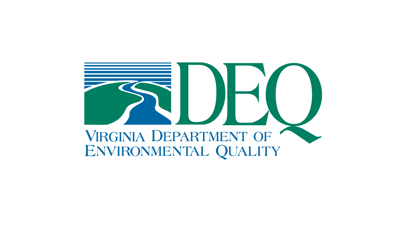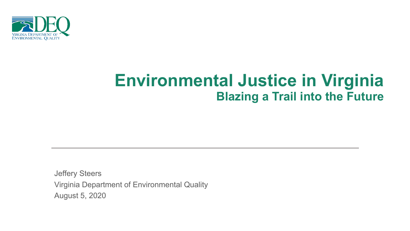

# **Environmental Justice in Virginia Blazing a Trail into the Future**

August 5, 2020 Virginia Department of Environmental Quality Jeffery Steers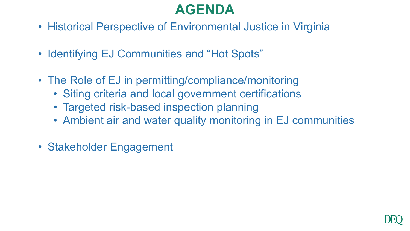# **AGENDA**

- Historical Perspective of Environmental Justice in Virginia
- Identifying EJ Communities and "Hot Spots"
- The Role of EJ in permitting/compliance/monitoring
	- Siting criteria and local government certifications
	- Targeted risk-based inspection planning
	- Ambient air and water quality monitoring in EJ communities
- Stakeholder Engagement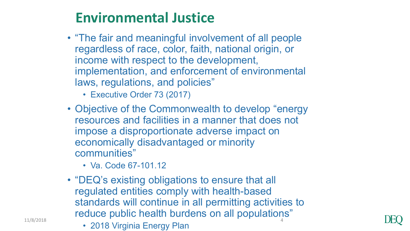# **Environmental Justice**

- "The fair and meaningful involvement of all people regardless of race, color, faith, national origin, or income with respect to the development, implementation, and enforcement of environmental laws, regulations, and policies"
	- Executive Order 73 (2017)
- Objective of the Commonwealth to develop "energy resources and facilities in a manner that does not impose a disproportionate adverse impact on economically disadvantaged or minority communities"
	- Va. Code 67-101.12
- "DEQ's existing obligations to ensure that all regulated entities comply with health-based standards will continue in all permitting activities to reduce public health burdens on all populations"
- $\frac{11}{8}$ <sup>11/8/2018</sup> 2018 Virginia Energy Plan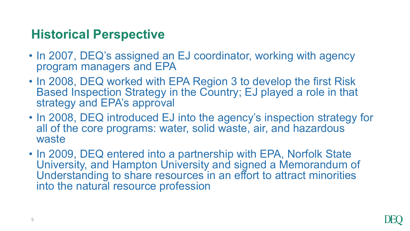## **Historical Perspective**

- In 2007, DEQ's assigned an EJ coordinator, working with agency program managers and EPA
- In 2008, DEQ worked with EPA Region 3 to develop the first Risk Based Inspection Strategy in the Country; EJ played a role in that strategy and EPA's approval
- In 2008, DEQ introduced EJ into the agency's inspection strategy for all of the core programs: water, solid waste, air, and hazardous waste
- In 2009, DEQ entered into a partnership with EPA, Norfolk State University, and Hampton University and signed a Memorandum of Understanding to share resources in an effort to attract minorities into the natural resource profession

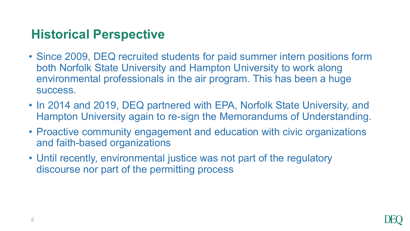## **Historical Perspective**

- Since 2009, DEQ recruited students for paid summer intern positions form both Norfolk State University and Hampton University to work along environmental professionals in the air program. This has been a huge success.
- In 2014 and 2019, DEQ partnered with EPA, Norfolk State University, and Hampton University again to re-sign the Memorandums of Understanding.
- Proactive community engagement and education with civic organizations and faith-based organizations
- Until recently, environmental justice was not part of the regulatory discourse nor part of the permitting process

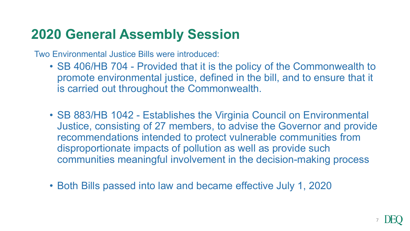## **2020 General Assembly Session**

Two Environmental Justice Bills were introduced:

- SB 406/HB 704 Provided that it is the policy of the Commonwealth to promote environmental justice, defined in the bill, and to ensure that it is carried out throughout the Commonwealth.
- SB 883/HB 1042 Establishes the Virginia Council on Environmental Justice, consisting of 27 members, to advise the Governor and provide recommendations intended to protect vulnerable communities from disproportionate impacts of pollution as well as provide such communities meaningful involvement in the decision-making process
- Both Bills passed into law and became effective July 1, 2020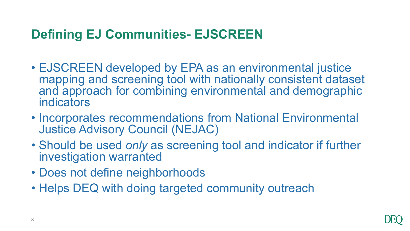## **Defining EJ Communities- EJSCREEN**

- EJSCREEN developed by EPA as an environmental justice mapping and screening tool with nationally consistent dataset and approach for combining environmental and demographic indicators
- Incorporates recommendations from National Environmental Justice Advisory Council (NEJAC)
- Should be used *only* as screening tool and indicator if further investigation warranted
- Does not define neighborhoods
- Helps DEQ with doing targeted community outreach

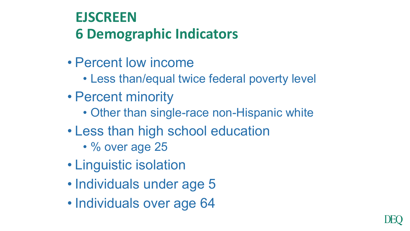# **EJSCREEN 6 Demographic Indicators**

- Percent low income
	- Less than/equal twice federal poverty level
- Percent minority
	- Other than single-race non-Hispanic white
- Less than high school education
	- % over age 25
- Linguistic isolation
- Individuals under age 5
- Individuals over age 64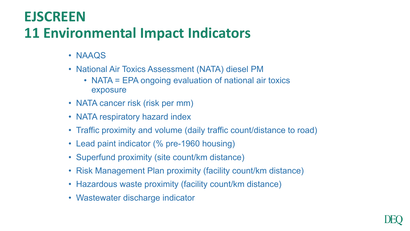# **EJSCREEN 11 Environmental Impact Indicators**

- NAAQS
- National Air Toxics Assessment (NATA) diesel PM
	- NATA = EPA ongoing evaluation of national air toxics exposure
- NATA cancer risk (risk per mm)
- NATA respiratory hazard index
- Traffic proximity and volume (daily traffic count/distance to road)
- Lead paint indicator (% pre-1960 housing)
- Superfund proximity (site count/km distance)
- Risk Management Plan proximity (facility count/km distance)
- Hazardous waste proximity (facility count/km distance)
- Wastewater discharge indicator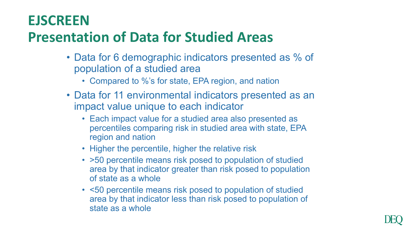## **EJSCREEN**

# **Presentation of Data for Studied Areas**

- Data for 6 demographic indicators presented as % of population of a studied area
	- Compared to %'s for state, EPA region, and nation
- Data for 11 environmental indicators presented as an impact value unique to each indicator
	- Each impact value for a studied area also presented as percentiles comparing risk in studied area with state, EPA region and nation
	- Higher the percentile, higher the relative risk
	- >50 percentile means risk posed to population of studied area by that indicator greater than risk posed to population of state as a whole
	- <50 percentile means risk posed to population of studied area by that indicator less than risk posed to population of state as a whole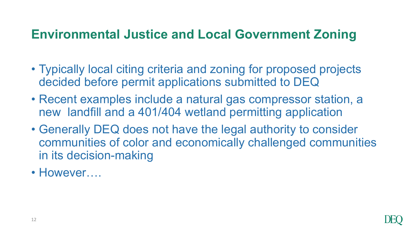## **Environmental Justice and Local Government Zoning**

- Typically local citing criteria and zoning for proposed projects decided before permit applications submitted to DEQ
- Recent examples include a natural gas compressor station, a new landfill and a 401/404 wetland permitting application
- Generally DEQ does not have the legal authority to consider communities of color and economically challenged communities in its decision-making
- However....

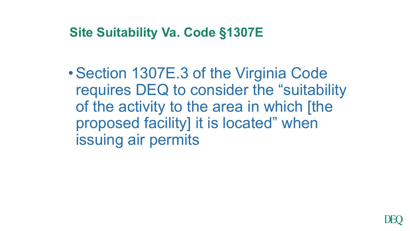### **Site Suitability Va. Code §1307E**

•Section 1307E.3 of the Virginia Code requires DEQ to consider the "suitability of the activity to the area in which [the proposed facility] it is located" when issuing air permits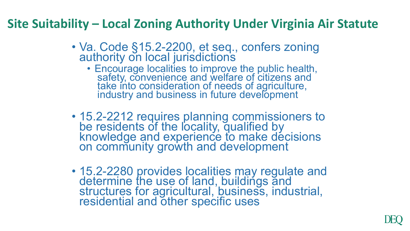### **Site Suitability – Local Zoning Authority Under Virginia Air Statute**

- Va. Code §15.2-2200, et seq., confers zoning authority on local jurisdictions
	- Encourage localities to improve the public health, safety, convenience and welfare of citizens and take into consideration of needs of agriculture, industry and business in future development
- 15.2-2212 requires planning commissioners to be residents of the locality, qualified by knowledge and experience to make decisions on community growth and development
- 15.2-2280 provides localities may regulate and<br>determine the use of land, buildings and structures for agricultural, business, industrial, residential and other specific uses

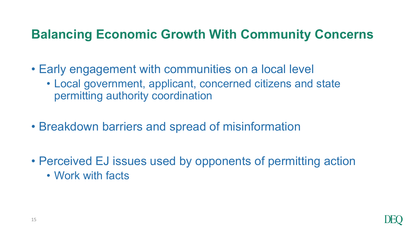## **Balancing Economic Growth With Community Concerns**

- Early engagement with communities on a local level
	- Local government, applicant, concerned citizens and state permitting authority coordination
- Breakdown barriers and spread of misinformation
- Perceived EJ issues used by opponents of permitting action • Work with facts

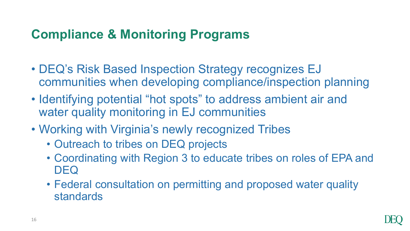## **Compliance & Monitoring Programs**

- DEQ's Risk Based Inspection Strategy recognizes EJ communities when developing compliance/inspection planning
- Identifying potential "hot spots" to address ambient air and water quality monitoring in EJ communities
- Working with Virginia's newly recognized Tribes
	- Outreach to tribes on DEQ projects
	- Coordinating with Region 3 to educate tribes on roles of EPA and DEQ
	- Federal consultation on permitting and proposed water quality standards

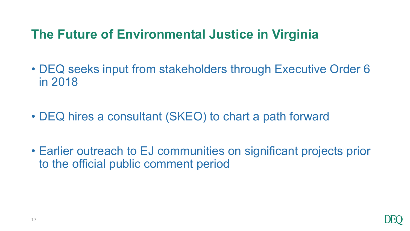## **The Future of Environmental Justice in Virginia**

- DEQ seeks input from stakeholders through Executive Order 6 in 2018
- DEQ hires a consultant (SKEO) to chart a path forward
- Earlier outreach to EJ communities on significant projects prior to the official public comment period

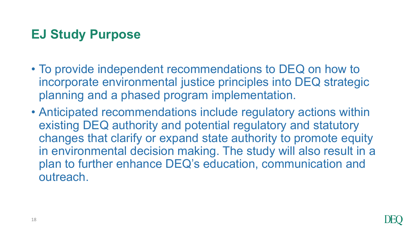## **EJ Study Purpose**

- To provide independent recommendations to DEQ on how to incorporate environmental justice principles into DEQ strategic planning and a phased program implementation.
- Anticipated recommendations include regulatory actions within existing DEQ authority and potential regulatory and statutory changes that clarify or expand state authority to promote equity in environmental decision making. The study will also result in a plan to further enhance DEQ's education, communication and outreach.

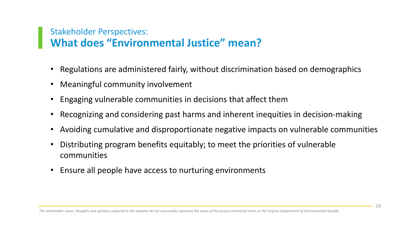#### Stakeholder Perspectives: **What does "Environmental Justice" mean?**

- Regulations are administered fairly, without discrimination based on demographics
- Meaningful community involvement
- Engaging vulnerable communities in decisions that affect them
- Recognizing and considering past harms and inherent inequities in decision-making
- Avoiding cumulative and disproportionate negative impacts on vulnerable communities
- Distributing program benefits equitably; to meet the priorities of vulnerable communities
- Ensure all people have access to nurturing environments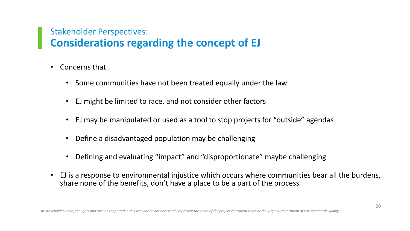#### Stakeholder Perspectives: **Considerations regarding the concept of EJ**

- Concerns that..
	- Some communities have not been treated equally under the law
	- EJ might be limited to race, and not consider other factors
	- EJ may be manipulated or used as a tool to stop projects for "outside" agendas
	- Define a disadvantaged population may be challenging
	- Defining and evaluating "impact" and "disproportionate" maybe challenging
- EJ is a response to environmental injustice which occurs where communities bear all the burdens, share none of the benefits, don't have a place to be a part of the process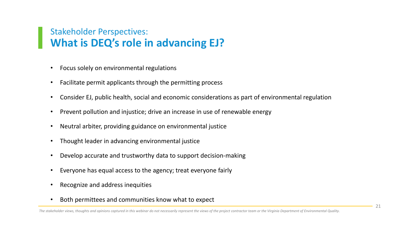#### Stakeholder Perspectives: **What is DEQ's role in advancing EJ?**

- Focus solely on environmental regulations
- Facilitate permit applicants through the permitting process
- Consider EJ, public health, social and economic considerations as part of environmental regulation
- Prevent pollution and injustice; drive an increase in use of renewable energy
- Neutral arbiter, providing guidance on environmental justice
- Thought leader in advancing environmental justice
- Develop accurate and trustworthy data to support decision-making
- Everyone has equal access to the agency; treat everyone fairly
- Recognize and address inequities
- Both permittees and communities know what to expect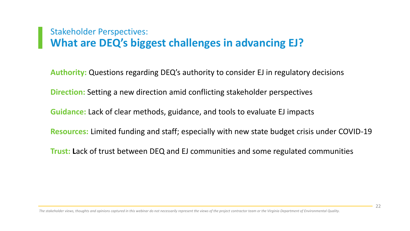#### Stakeholder Perspectives: **What are DEQ's biggest challenges in advancing EJ?**

**Authority:** Questions regarding DEQ's authority to consider EJ in regulatory decisions

**Direction:** Setting a new direction amid conflicting stakeholder perspectives

**Guidance:** Lack of clear methods, guidance, and tools to evaluate EJ impacts

**Resources:** Limited funding and staff; especially with new state budget crisis under COVID-19

**Trust: L**ack of trust between DEQ and EJ communities and some regulated communities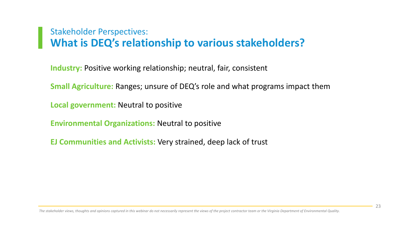#### Stakeholder Perspectives: **What is DEQ's relationship to various stakeholders?**

**Industry:** Positive working relationship; neutral, fair, consistent

**Small Agriculture:** Ranges; unsure of DEQ's role and what programs impact them

**Local government:** Neutral to positive

**Environmental Organizations:** Neutral to positive

**EJ Communities and Activists:** Very strained, deep lack of trust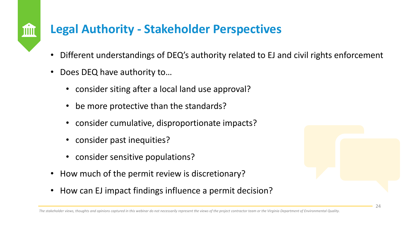### **Legal Authority - Stakeholder Perspectives**

- Different understandings of DEQ's authority related to EJ and civil rights enforcement
- Does DEQ have authority to…

M

- consider siting after a local land use approval?
- be more protective than the standards?
- consider cumulative, disproportionate impacts?
- consider past inequities?
- consider sensitive populations?
- How much of the permit review is discretionary?
- How can EJ impact findings influence a permit decision?

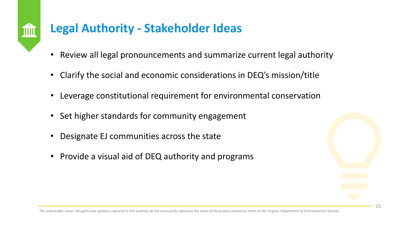

### **Legal Authority - Stakeholder Ideas**

- Review all legal pronouncements and summarize current legal authority
- Clarify the social and economic considerations in DEQ's mission/title
- Leverage constitutional requirement for environmental conservation
- Set higher standards for community engagement
- Designate EJ communities across the state
- Provide a visual aid of DEQ authority and programs

*The stakeholder views, thoughts and opinions captured in this webinar do not necessarily represent the views of the project contractor team or the Virginia Department of Environmental Quality.*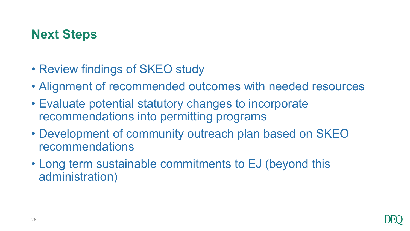## **Next Steps**

- Review findings of SKEO study
- Alignment of recommended outcomes with needed resources
- Evaluate potential statutory changes to incorporate recommendations into permitting programs
- Development of community outreach plan based on SKEO recommendations
- Long term sustainable commitments to EJ (beyond this administration)

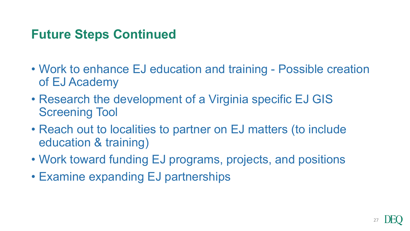### **Future Steps Continued**

- Work to enhance EJ education and training Possible creation of EJ Academy
- Research the development of a Virginia specific EJ GIS Screening Tool
- Reach out to localities to partner on EJ matters (to include education & training)
- Work toward funding EJ programs, projects, and positions
- Examine expanding EJ partnerships